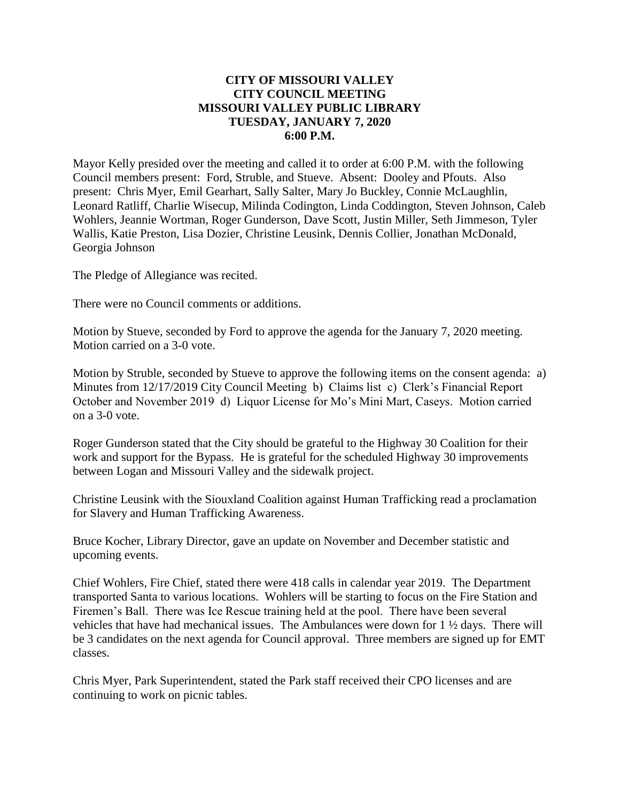## **CITY OF MISSOURI VALLEY CITY COUNCIL MEETING MISSOURI VALLEY PUBLIC LIBRARY TUESDAY, JANUARY 7, 2020 6:00 P.M.**

Mayor Kelly presided over the meeting and called it to order at 6:00 P.M. with the following Council members present: Ford, Struble, and Stueve. Absent: Dooley and Pfouts. Also present: Chris Myer, Emil Gearhart, Sally Salter, Mary Jo Buckley, Connie McLaughlin, Leonard Ratliff, Charlie Wisecup, Milinda Codington, Linda Coddington, Steven Johnson, Caleb Wohlers, Jeannie Wortman, Roger Gunderson, Dave Scott, Justin Miller, Seth Jimmeson, Tyler Wallis, Katie Preston, Lisa Dozier, Christine Leusink, Dennis Collier, Jonathan McDonald, Georgia Johnson

The Pledge of Allegiance was recited.

There were no Council comments or additions.

Motion by Stueve, seconded by Ford to approve the agenda for the January 7, 2020 meeting. Motion carried on a 3-0 vote.

Motion by Struble, seconded by Stueve to approve the following items on the consent agenda: a) Minutes from 12/17/2019 City Council Meeting b) Claims list c) Clerk's Financial Report October and November 2019 d) Liquor License for Mo's Mini Mart, Caseys. Motion carried on a 3-0 vote.

Roger Gunderson stated that the City should be grateful to the Highway 30 Coalition for their work and support for the Bypass. He is grateful for the scheduled Highway 30 improvements between Logan and Missouri Valley and the sidewalk project.

Christine Leusink with the Siouxland Coalition against Human Trafficking read a proclamation for Slavery and Human Trafficking Awareness.

Bruce Kocher, Library Director, gave an update on November and December statistic and upcoming events.

Chief Wohlers, Fire Chief, stated there were 418 calls in calendar year 2019. The Department transported Santa to various locations. Wohlers will be starting to focus on the Fire Station and Firemen's Ball. There was Ice Rescue training held at the pool. There have been several vehicles that have had mechanical issues. The Ambulances were down for 1 ½ days. There will be 3 candidates on the next agenda for Council approval. Three members are signed up for EMT classes.

Chris Myer, Park Superintendent, stated the Park staff received their CPO licenses and are continuing to work on picnic tables.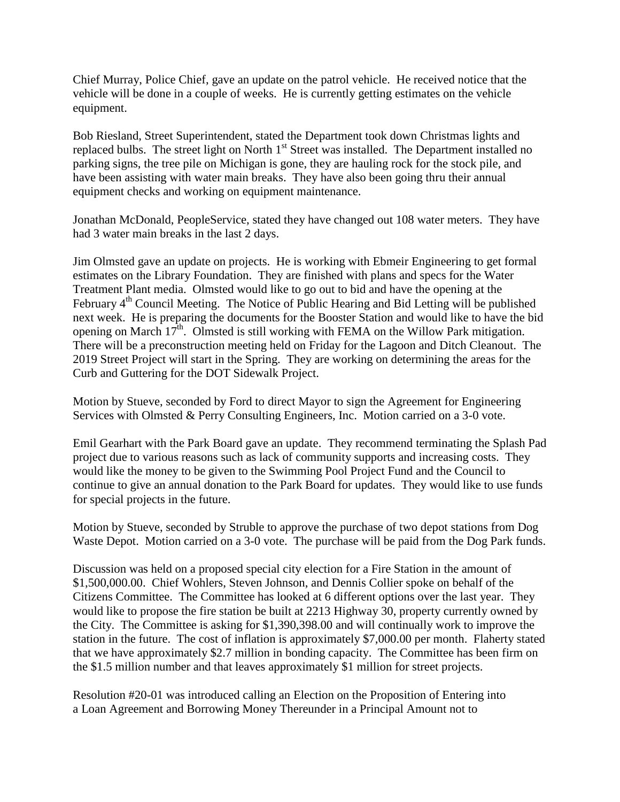Chief Murray, Police Chief, gave an update on the patrol vehicle. He received notice that the vehicle will be done in a couple of weeks. He is currently getting estimates on the vehicle equipment.

Bob Riesland, Street Superintendent, stated the Department took down Christmas lights and replaced bulbs. The street light on North 1<sup>st</sup> Street was installed. The Department installed no parking signs, the tree pile on Michigan is gone, they are hauling rock for the stock pile, and have been assisting with water main breaks. They have also been going thru their annual equipment checks and working on equipment maintenance.

Jonathan McDonald, PeopleService, stated they have changed out 108 water meters. They have had 3 water main breaks in the last 2 days.

Jim Olmsted gave an update on projects. He is working with Ebmeir Engineering to get formal estimates on the Library Foundation. They are finished with plans and specs for the Water Treatment Plant media. Olmsted would like to go out to bid and have the opening at the February 4<sup>th</sup> Council Meeting. The Notice of Public Hearing and Bid Letting will be published next week. He is preparing the documents for the Booster Station and would like to have the bid opening on March 17<sup>th</sup>. Olmsted is still working with FEMA on the Willow Park mitigation. There will be a preconstruction meeting held on Friday for the Lagoon and Ditch Cleanout. The 2019 Street Project will start in the Spring. They are working on determining the areas for the Curb and Guttering for the DOT Sidewalk Project.

Motion by Stueve, seconded by Ford to direct Mayor to sign the Agreement for Engineering Services with Olmsted & Perry Consulting Engineers, Inc. Motion carried on a 3-0 vote.

Emil Gearhart with the Park Board gave an update. They recommend terminating the Splash Pad project due to various reasons such as lack of community supports and increasing costs. They would like the money to be given to the Swimming Pool Project Fund and the Council to continue to give an annual donation to the Park Board for updates. They would like to use funds for special projects in the future.

Motion by Stueve, seconded by Struble to approve the purchase of two depot stations from Dog Waste Depot. Motion carried on a 3-0 vote. The purchase will be paid from the Dog Park funds.

Discussion was held on a proposed special city election for a Fire Station in the amount of \$1,500,000.00. Chief Wohlers, Steven Johnson, and Dennis Collier spoke on behalf of the Citizens Committee. The Committee has looked at 6 different options over the last year. They would like to propose the fire station be built at 2213 Highway 30, property currently owned by the City. The Committee is asking for \$1,390,398.00 and will continually work to improve the station in the future. The cost of inflation is approximately \$7,000.00 per month. Flaherty stated that we have approximately \$2.7 million in bonding capacity. The Committee has been firm on the \$1.5 million number and that leaves approximately \$1 million for street projects.

Resolution #20-01 was introduced calling an Election on the Proposition of Entering into a Loan Agreement and Borrowing Money Thereunder in a Principal Amount not to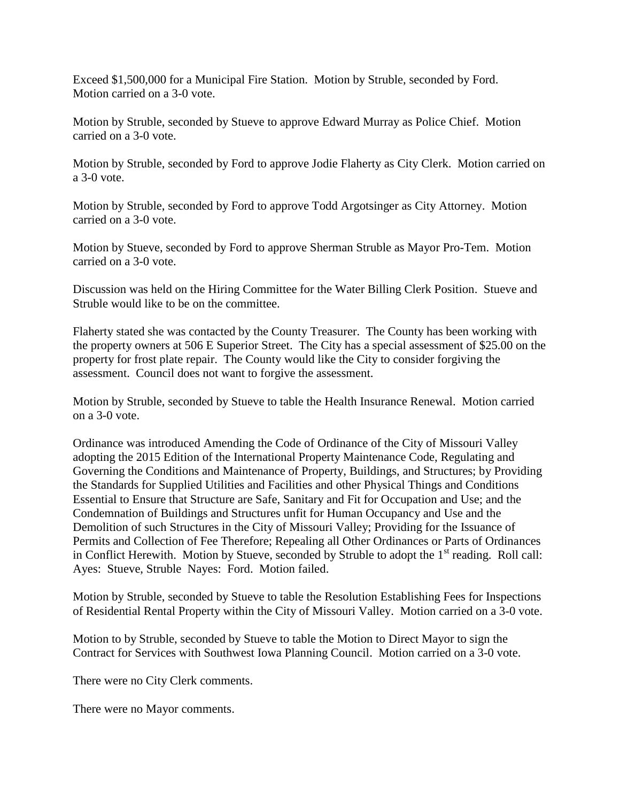Exceed \$1,500,000 for a Municipal Fire Station. Motion by Struble, seconded by Ford. Motion carried on a 3-0 vote.

Motion by Struble, seconded by Stueve to approve Edward Murray as Police Chief. Motion carried on a 3-0 vote.

Motion by Struble, seconded by Ford to approve Jodie Flaherty as City Clerk. Motion carried on a 3-0 vote.

Motion by Struble, seconded by Ford to approve Todd Argotsinger as City Attorney. Motion carried on a 3-0 vote.

Motion by Stueve, seconded by Ford to approve Sherman Struble as Mayor Pro-Tem. Motion carried on a 3-0 vote.

Discussion was held on the Hiring Committee for the Water Billing Clerk Position. Stueve and Struble would like to be on the committee.

Flaherty stated she was contacted by the County Treasurer. The County has been working with the property owners at 506 E Superior Street. The City has a special assessment of \$25.00 on the property for frost plate repair. The County would like the City to consider forgiving the assessment. Council does not want to forgive the assessment.

Motion by Struble, seconded by Stueve to table the Health Insurance Renewal. Motion carried on a 3-0 vote.

Ordinance was introduced Amending the Code of Ordinance of the City of Missouri Valley adopting the 2015 Edition of the International Property Maintenance Code, Regulating and Governing the Conditions and Maintenance of Property, Buildings, and Structures; by Providing the Standards for Supplied Utilities and Facilities and other Physical Things and Conditions Essential to Ensure that Structure are Safe, Sanitary and Fit for Occupation and Use; and the Condemnation of Buildings and Structures unfit for Human Occupancy and Use and the Demolition of such Structures in the City of Missouri Valley; Providing for the Issuance of Permits and Collection of Fee Therefore; Repealing all Other Ordinances or Parts of Ordinances in Conflict Herewith. Motion by Stueve, seconded by Struble to adopt the  $1<sup>st</sup>$  reading. Roll call: Ayes: Stueve, Struble Nayes: Ford. Motion failed.

Motion by Struble, seconded by Stueve to table the Resolution Establishing Fees for Inspections of Residential Rental Property within the City of Missouri Valley. Motion carried on a 3-0 vote.

Motion to by Struble, seconded by Stueve to table the Motion to Direct Mayor to sign the Contract for Services with Southwest Iowa Planning Council. Motion carried on a 3-0 vote.

There were no City Clerk comments.

There were no Mayor comments.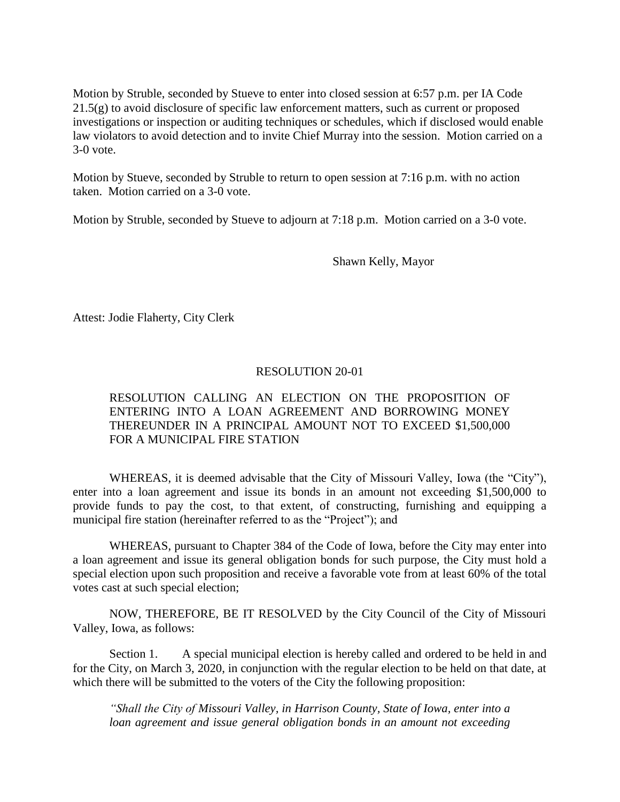Motion by Struble, seconded by Stueve to enter into closed session at 6:57 p.m. per IA Code 21.5(g) to avoid disclosure of specific law enforcement matters, such as current or proposed investigations or inspection or auditing techniques or schedules, which if disclosed would enable law violators to avoid detection and to invite Chief Murray into the session. Motion carried on a 3-0 vote.

Motion by Stueve, seconded by Struble to return to open session at 7:16 p.m. with no action taken. Motion carried on a 3-0 vote.

Motion by Struble, seconded by Stueve to adjourn at 7:18 p.m. Motion carried on a 3-0 vote.

Shawn Kelly, Mayor

Attest: Jodie Flaherty, City Clerk

## RESOLUTION 20-01

## RESOLUTION CALLING AN ELECTION ON THE PROPOSITION OF ENTERING INTO A LOAN AGREEMENT AND BORROWING MONEY THEREUNDER IN A PRINCIPAL AMOUNT NOT TO EXCEED \$1,500,000 FOR A MUNICIPAL FIRE STATION

WHEREAS, it is deemed advisable that the City of Missouri Valley, Iowa (the "City"), enter into a loan agreement and issue its bonds in an amount not exceeding \$1,500,000 to provide funds to pay the cost, to that extent, of constructing, furnishing and equipping a municipal fire station (hereinafter referred to as the "Project"); and

WHEREAS, pursuant to Chapter 384 of the Code of Iowa, before the City may enter into a loan agreement and issue its general obligation bonds for such purpose, the City must hold a special election upon such proposition and receive a favorable vote from at least 60% of the total votes cast at such special election;

NOW, THEREFORE, BE IT RESOLVED by the City Council of the City of Missouri Valley, Iowa, as follows:

Section 1. A special municipal election is hereby called and ordered to be held in and for the City, on March 3, 2020, in conjunction with the regular election to be held on that date, at which there will be submitted to the voters of the City the following proposition:

*"Shall the City of Missouri Valley, in Harrison County, State of Iowa, enter into a loan agreement and issue general obligation bonds in an amount not exceeding*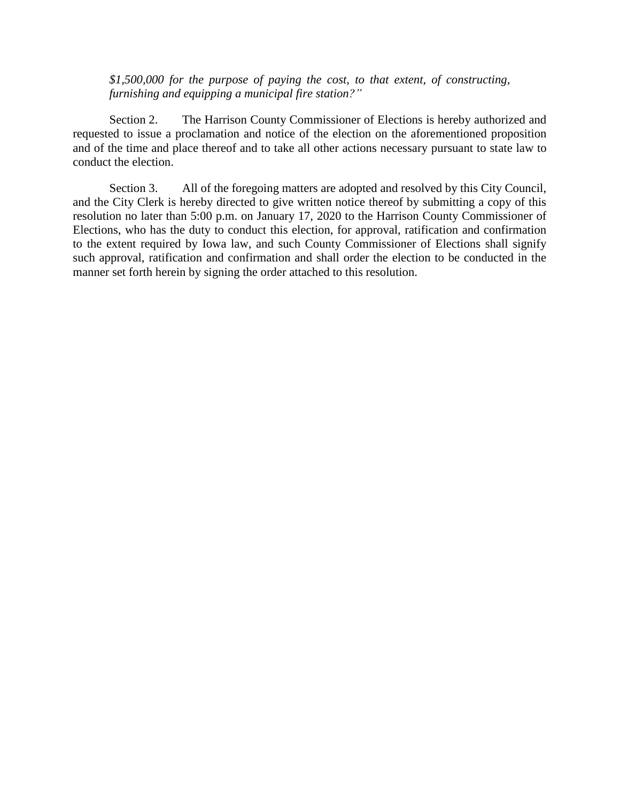*\$1,500,000 for the purpose of paying the cost, to that extent, of constructing, furnishing and equipping a municipal fire station?"*

Section 2. The Harrison County Commissioner of Elections is hereby authorized and requested to issue a proclamation and notice of the election on the aforementioned proposition and of the time and place thereof and to take all other actions necessary pursuant to state law to conduct the election.

Section 3. All of the foregoing matters are adopted and resolved by this City Council, and the City Clerk is hereby directed to give written notice thereof by submitting a copy of this resolution no later than 5:00 p.m. on January 17, 2020 to the Harrison County Commissioner of Elections, who has the duty to conduct this election, for approval, ratification and confirmation to the extent required by Iowa law, and such County Commissioner of Elections shall signify such approval, ratification and confirmation and shall order the election to be conducted in the manner set forth herein by signing the order attached to this resolution.